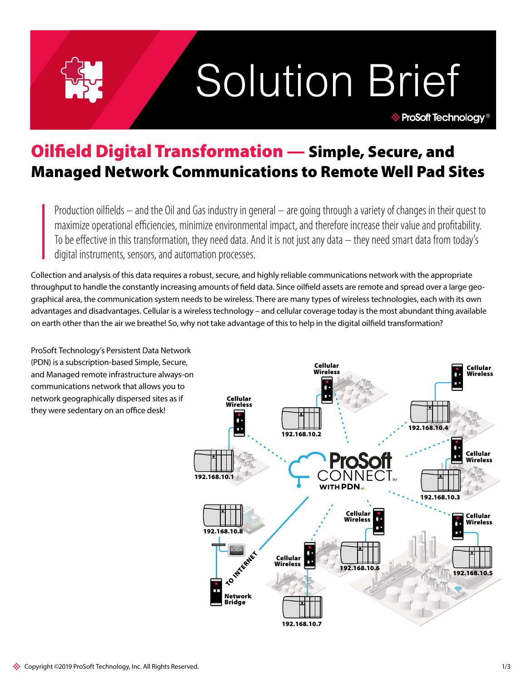# Solution Brief

**ProSoft Technology<sup>®</sup>** 

# Oilfield Digital Transformation — Simple, Secure, and Managed Network Communications to Remote Well Pad Sites

Production oilfields – and the Oil and Gas industry in general – are going through a variety of changes in their quest to maximize operational efficiencies, minimize environmental impact, and therefore increase their value and profitability. To be effective in this transformation, they need data. And it is not just any data – they need smart data from today's digital instruments, sensors, and automation processes.

Collection and analysis of this data requires a robust, secure, and highly reliable communications network with the appropriate throughput to handle the constantly increasing amounts of field data. Since oilfield assets are remote and spread over a large geographical area, the communication system needs to be wireless. There are many types of wireless technologies, each with its own advantages and disadvantages. Cellular is a wireless technology – and cellular coverage today is the most abundant thing available on earth other than the air we breathe! So, why not take advantage of this to help in the digital oilfield transformation?

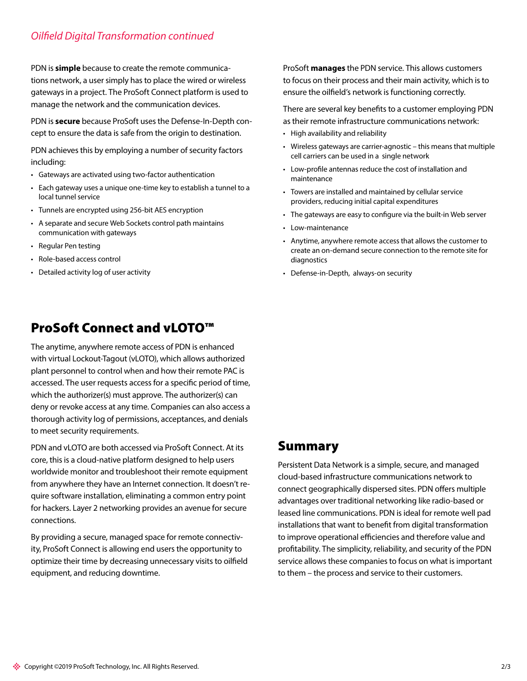# *Oilfield Digital Transformation continued*

PDN is **simple** because to create the remote communications network, a user simply has to place the wired or wireless gateways in a project. The ProSoft Connect platform is used to manage the network and the communication devices.

PDN is **secure** because ProSoft uses the Defense-In-Depth concept to ensure the data is safe from the origin to destination.

PDN achieves this by employing a number of security factors including:

- Gateways are activated using two-factor authentication
- Each gateway uses a unique one-time key to establish a tunnel to a local tunnel service
- Tunnels are encrypted using 256-bit AES encryption
- A separate and secure Web Sockets control path maintains communication with gateways
- Regular Pen testing
- Role-based access control
- Detailed activity log of user activity

# ProSoft Connect and vLOTO™

The anytime, anywhere remote access of PDN is enhanced with virtual Lockout-Tagout (vLOTO), which allows authorized plant personnel to control when and how their remote PAC is accessed. The user requests access for a specific period of time, which the authorizer(s) must approve. The authorizer(s) can deny or revoke access at any time. Companies can also access a thorough activity log of permissions, acceptances, and denials to meet security requirements.

PDN and vLOTO are both accessed via ProSoft Connect. At its core, this is a cloud-native platform designed to help users worldwide monitor and troubleshoot their remote equipment from anywhere they have an Internet connection. It doesn't require software installation, eliminating a common entry point for hackers. Layer 2 networking provides an avenue for secure connections.

By providing a secure, managed space for remote connectivity, ProSoft Connect is allowing end users the opportunity to optimize their time by decreasing unnecessary visits to oilfield equipment, and reducing downtime.

ProSoft **manages** the PDN service. This allows customers to focus on their process and their main activity, which is to ensure the oilfield's network is functioning correctly.

There are several key benefits to a customer employing PDN as their remote infrastructure communications network:

- High availability and reliability
- Wireless gateways are carrier-agnostic this means that multiple cell carriers can be used in a single network
- Low-profile antennas reduce the cost of installation and maintenance
- Towers are installed and maintained by cellular service providers, reducing initial capital expenditures
- The gateways are easy to configure via the built-in Web server
- Low-maintenance
- Anytime, anywhere remote access that allows the customer to create an on-demand secure connection to the remote site for diagnostics
- Defense-in-Depth, always-on security

# Summary

Persistent Data Network is a simple, secure, and managed cloud-based infrastructure communications network to connect geographically dispersed sites. PDN offers multiple advantages over traditional networking like radio-based or leased line communications. PDN is ideal for remote well pad installations that want to benefit from digital transformation to improve operational efficiencies and therefore value and profitability. The simplicity, reliability, and security of the PDN service allows these companies to focus on what is important to them – the process and service to their customers.